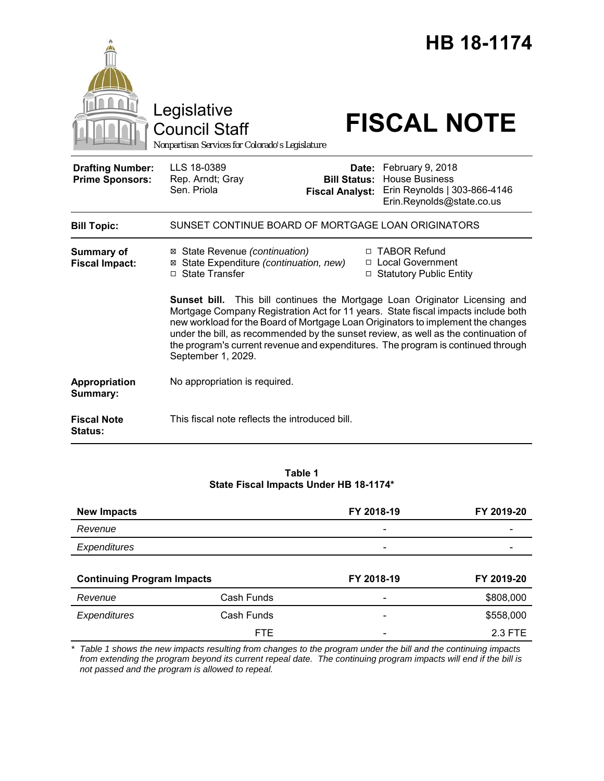|                                                   |                                                                                                                                                                                                                                                                                                                                                                                                                                                       |                                               | <b>HB 18-1174</b>                                                                                            |  |
|---------------------------------------------------|-------------------------------------------------------------------------------------------------------------------------------------------------------------------------------------------------------------------------------------------------------------------------------------------------------------------------------------------------------------------------------------------------------------------------------------------------------|-----------------------------------------------|--------------------------------------------------------------------------------------------------------------|--|
|                                                   | Legislative<br>Council Staff<br>Nonpartisan Services for Colorado's Legislature                                                                                                                                                                                                                                                                                                                                                                       |                                               | <b>FISCAL NOTE</b>                                                                                           |  |
| <b>Drafting Number:</b><br><b>Prime Sponsors:</b> | LLS 18-0389<br>Rep. Arndt; Gray<br>Sen. Priola                                                                                                                                                                                                                                                                                                                                                                                                        | <b>Bill Status:</b><br><b>Fiscal Analyst:</b> | Date: February 9, 2018<br><b>House Business</b><br>Erin Reynolds   303-866-4146<br>Erin.Reynolds@state.co.us |  |
| <b>Bill Topic:</b>                                | SUNSET CONTINUE BOARD OF MORTGAGE LOAN ORIGINATORS                                                                                                                                                                                                                                                                                                                                                                                                    |                                               |                                                                                                              |  |
| <b>Summary of</b><br><b>Fiscal Impact:</b>        | ⊠ State Revenue (continuation)<br>⊠ State Expenditure (continuation, new)<br>□ State Transfer                                                                                                                                                                                                                                                                                                                                                         |                                               | □ TABOR Refund<br>□ Local Government<br>□ Statutory Public Entity                                            |  |
|                                                   | Sunset bill. This bill continues the Mortgage Loan Originator Licensing and<br>Mortgage Company Registration Act for 11 years. State fiscal impacts include both<br>new workload for the Board of Mortgage Loan Originators to implement the changes<br>under the bill, as recommended by the sunset review, as well as the continuation of<br>the program's current revenue and expenditures. The program is continued through<br>September 1, 2029. |                                               |                                                                                                              |  |
| Appropriation<br>Summary:                         | No appropriation is required.                                                                                                                                                                                                                                                                                                                                                                                                                         |                                               |                                                                                                              |  |
| <b>Fiscal Note</b><br><b>Status:</b>              | This fiscal note reflects the introduced bill.                                                                                                                                                                                                                                                                                                                                                                                                        |                                               |                                                                                                              |  |

# **Table 1 State Fiscal Impacts Under HB 18-1174\***

| <b>New Impacts</b>                |            | FY 2018-19                   | FY 2019-20 |
|-----------------------------------|------------|------------------------------|------------|
| Revenue                           |            | $\qquad \qquad \blacksquare$ |            |
| Expenditures                      |            |                              |            |
|                                   |            |                              |            |
| <b>Continuing Program Impacts</b> |            | FY 2018-19<br>FY 2019-20     |            |
| Revenue                           | Cash Funds |                              | \$808,000  |
|                                   |            |                              |            |
| <b>Expenditures</b>               | Cash Funds |                              | \$558,000  |

*\* Table 1 shows the new impacts resulting from changes to the program under the bill and the continuing impacts from extending the program beyond its current repeal date. The continuing program impacts will end if the bill is not passed and the program is allowed to repeal.*